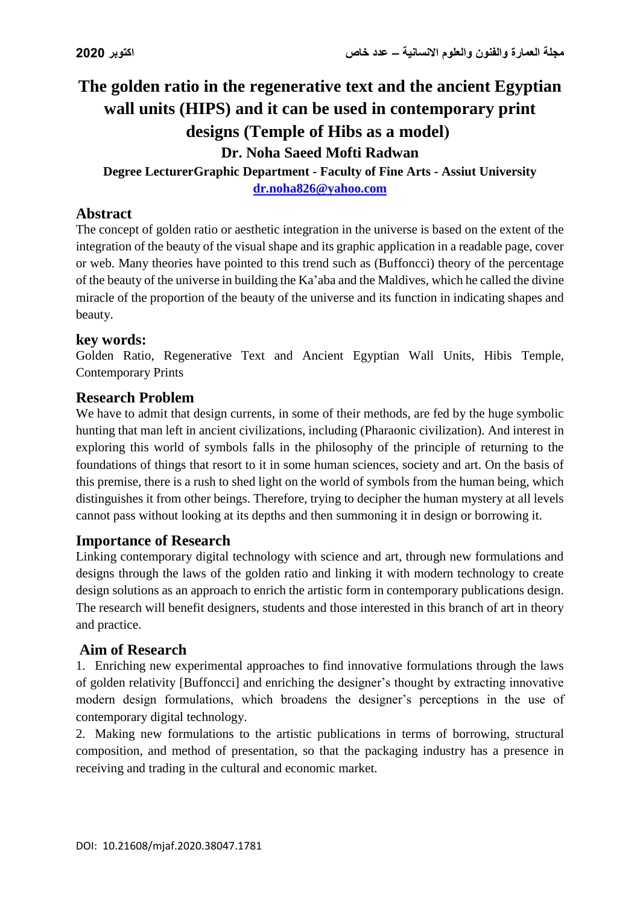# **The golden ratio in the regenerative text and the ancient Egyptian wall units (HIPS) and it can be used in contemporary print**  designs (Temple of Hibs as a model) **Dr. Noha Saeed Mofti Radwan**

**Degree LecturerGraphic Department - Faculty of Fine Arts - Assiut University [dr.noha826@yahoo.com](mailto:dr.noha826@yahoo.com)**

#### **Abstract**

The concept of golden ratio or aesthetic integration in the universe is based on the extent of the integration of the beauty of the visual shape and its graphic application in a readable page, cover or web. Many theories have pointed to this trend such as (Buffoncci) theory of the percentage of the beauty of the universe in building the Ka'aba and the Maldives, which he called the divine miracle of the proportion of the beauty of the universe and its function in indicating shapes and beauty.

#### **key words:**

Golden Ratio, Regenerative Text and Ancient Egyptian Wall Units, Hibis Temple, Contemporary Prints

#### **Research Problem**

We have to admit that design currents, in some of their methods, are fed by the huge symbolic hunting that man left in ancient civilizations, including (Pharaonic civilization). And interest in exploring this world of symbols falls in the philosophy of the principle of returning to the foundations of things that resort to it in some human sciences, society and art. On the basis of this premise, there is a rush to shed light on the world of symbols from the human being, which distinguishes it from other beings. Therefore, trying to decipher the human mystery at all levels cannot pass without looking at its depths and then summoning it in design or borrowing it.

#### **Importance of Research**

Linking contemporary digital technology with science and art, through new formulations and designs through the laws of the golden ratio and linking it with modern technology to create design solutions as an approach to enrich the artistic form in contemporary publications design. The research will benefit designers, students and those interested in this branch of art in theory and practice.

#### **Aim of Research**

1. Enriching new experimental approaches to find innovative formulations through the laws of golden relativity [Buffoncci] and enriching the designer's thought by extracting innovative modern design formulations, which broadens the designer's perceptions in the use of contemporary digital technology.

2. Making new formulations to the artistic publications in terms of borrowing, structural composition, and method of presentation, so that the packaging industry has a presence in receiving and trading in the cultural and economic market.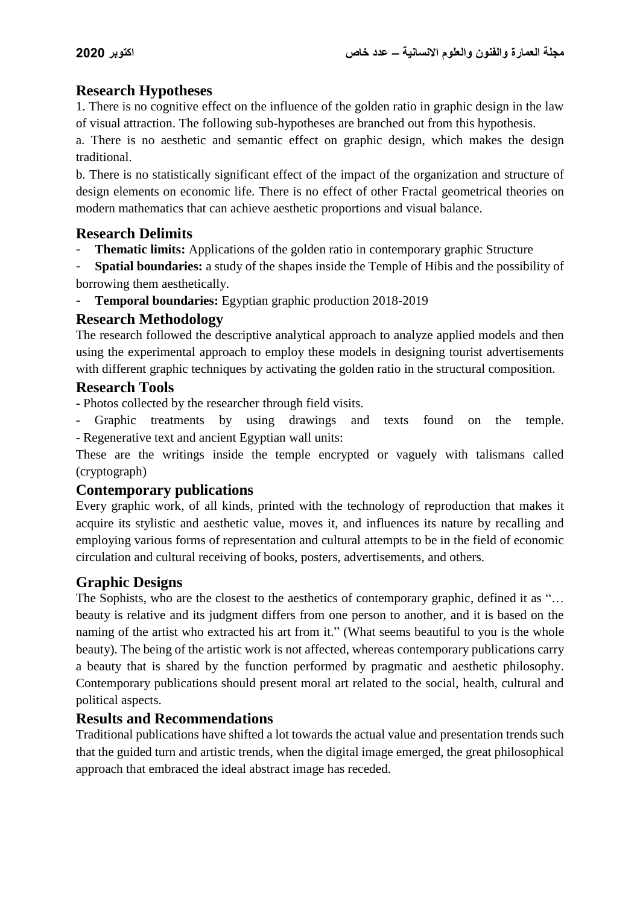## **Research Hypotheses**

1. There is no cognitive effect on the influence of the golden ratio in graphic design in the law of visual attraction. The following sub-hypotheses are branched out from this hypothesis.

a. There is no aesthetic and semantic effect on graphic design, which makes the design traditional.

b. There is no statistically significant effect of the impact of the organization and structure of design elements on economic life. There is no effect of other Fractal geometrical theories on modern mathematics that can achieve aesthetic proportions and visual balance.

# **Research Delimits**

**Thematic limits:** Applications of the golden ratio in contemporary graphic Structure

**Spatial boundaries:** a study of the shapes inside the Temple of Hibis and the possibility of borrowing them aesthetically.

- **Temporal boundaries:** Egyptian graphic production 2018-2019

## **Research Methodology**

The research followed the descriptive analytical approach to analyze applied models and then using the experimental approach to employ these models in designing tourist advertisements with different graphic techniques by activating the golden ratio in the structural composition.

## **Research Tools**

**-** Photos collected by the researcher through field visits.

Graphic treatments by using drawings and texts found on the temple. - Regenerative text and ancient Egyptian wall units:

These are the writings inside the temple encrypted or vaguely with talismans called (cryptograph)

## **Contemporary publications**

Every graphic work, of all kinds, printed with the technology of reproduction that makes it acquire its stylistic and aesthetic value, moves it, and influences its nature by recalling and employing various forms of representation and cultural attempts to be in the field of economic circulation and cultural receiving of books, posters, advertisements, and others.

# **Graphic Designs**

The Sophists, who are the closest to the aesthetics of contemporary graphic, defined it as "... beauty is relative and its judgment differs from one person to another, and it is based on the naming of the artist who extracted his art from it." (What seems beautiful to you is the whole beauty). The being of the artistic work is not affected, whereas contemporary publications carry a beauty that is shared by the function performed by pragmatic and aesthetic philosophy. Contemporary publications should present moral art related to the social, health, cultural and political aspects.

## **Results and Recommendations**

Traditional publications have shifted a lot towards the actual value and presentation trends such that the guided turn and artistic trends, when the digital image emerged, the great philosophical approach that embraced the ideal abstract image has receded.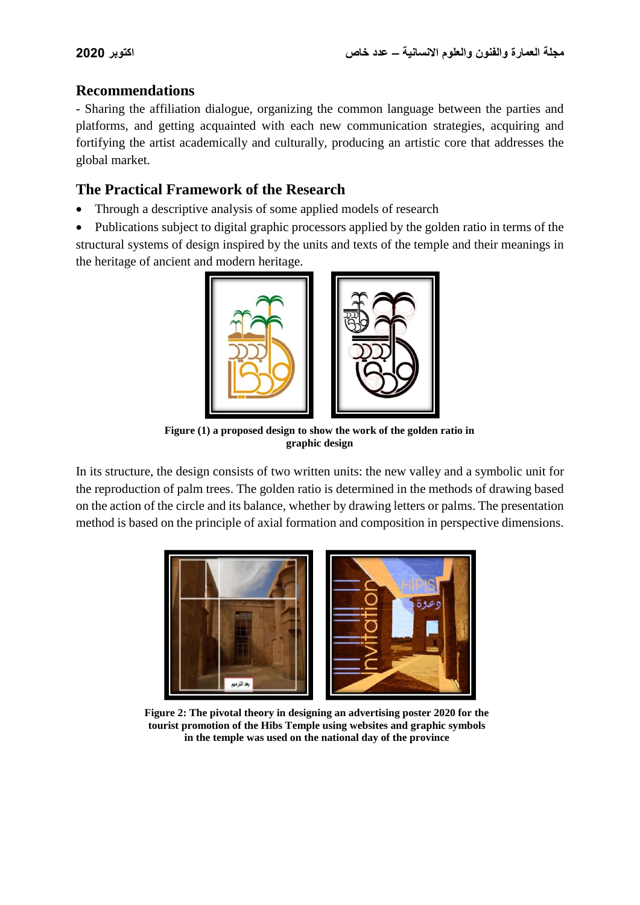## **Recommendations**

- Sharing the affiliation dialogue, organizing the common language between the parties and platforms, and getting acquainted with each new communication strategies, acquiring and fortifying the artist academically and culturally, producing an artistic core that addresses the global market.

# **The Practical Framework of the Research**

- Through a descriptive analysis of some applied models of research
- Publications subject to digital graphic processors applied by the golden ratio in terms of the structural systems of design inspired by the units and texts of the temple and their meanings in the heritage of ancient and modern heritage.



**Figure (1) a proposed design to show the work of the golden ratio in graphic design**

In its structure, the design consists of two written units: the new valley and a symbolic unit for the reproduction of palm trees. The golden ratio is determined in the methods of drawing based on the action of the circle and its balance, whether by drawing letters or palms. The presentation method is based on the principle of axial formation and composition in perspective dimensions.



**Figure 2: The pivotal theory in designing an advertising poster 2020 for the tourist promotion of the Hibs Temple using websites and graphic symbols in the temple was used on the national day of the province**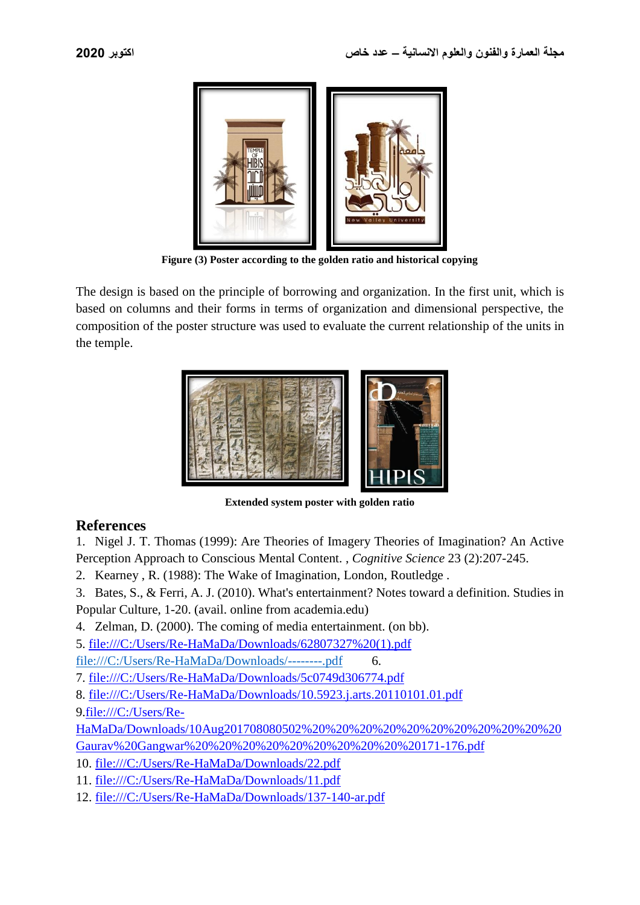

**Figure (3) Poster according to the golden ratio and historical copying**

The design is based on the principle of borrowing and organization. In the first unit, which is based on columns and their forms in terms of organization and dimensional perspective, the composition of the poster structure was used to evaluate the current relationship of the units in the temple.



**Extended system poster with golden ratio**

#### **References**

1. [Nigel J. T. Thomas](https://philpapers.org/s/Nigel%20J.%20T.%20Thomas) (1999): [Are Theories of Imagery Theories of Imagination? An Active](https://philpapers.org/rec/THOATO-2)  [Perception Approach to Conscious Mental Content.](https://philpapers.org/rec/THOATO-2) , *Cognitive Science* 23 (2):207-245.

2. Kearney , R. (1988): The Wake of Imagination, London, Routledge .

3. Bates, S., & Ferri, A. J. (2010). What's entertainment? Notes toward a definition. Studies in Popular Culture, 1-20. (avail. online from academia.edu)

4. Zelman, D. (2000). The coming of media entertainment. (on bb).

5. file:///C:/Users/Re-HaMaDa/Downloads/62807327%20(1).pdf

<file:///C:/Users/Re-HaMaDa/Downloads/--------.pdf>6.

7. <file:///C:/Users/Re-HaMaDa/Downloads/5c0749d306774.pdf>

8. <file:///C:/Users/Re-HaMaDa/Downloads/10.5923.j.arts.20110101.01.pdf>

9[.file:///C:/Users/Re-](file:///C:/Users/Re-HaMaDa/Downloads/10Aug201708080502%20%20%20%20%20%20%20%20%20%20%20Gaurav%20Gangwar%20%20%20%20%20%20%20%20%20%20171-176.pdf)

[HaMaDa/Downloads/10Aug201708080502%20%20%20%20%20%20%20%20%20%20%20](file:///C:/Users/Re-HaMaDa/Downloads/10Aug201708080502%20%20%20%20%20%20%20%20%20%20%20Gaurav%20Gangwar%20%20%20%20%20%20%20%20%20%20171-176.pdf) [Gaurav%20Gangwar%20%20%20%20%20%20%20%20%20%20171-176.pdf](file:///C:/Users/Re-HaMaDa/Downloads/10Aug201708080502%20%20%20%20%20%20%20%20%20%20%20Gaurav%20Gangwar%20%20%20%20%20%20%20%20%20%20171-176.pdf)

10. <file:///C:/Users/Re-HaMaDa/Downloads/22.pdf>

11. <file:///C:/Users/Re-HaMaDa/Downloads/11.pdf>

12. <file:///C:/Users/Re-HaMaDa/Downloads/137-140-ar.pdf>